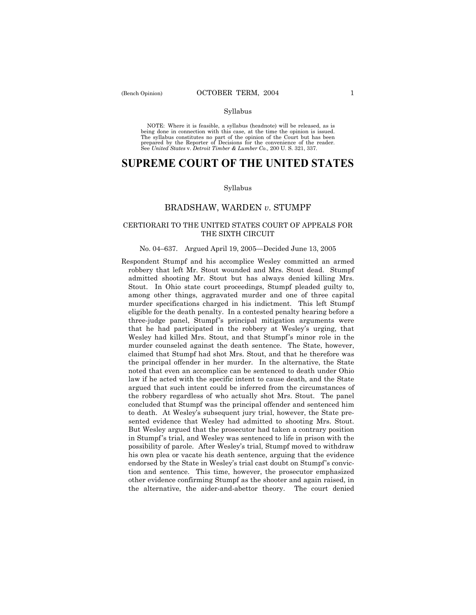#### Syllabus

NOTE: Where it is feasible, a syllabus (headnote) will be released, as is being done in connection with this case, at the time the opinion is issued. The syllabus constitutes no part of the opinion of the Court but has been<br>prepared by the Reporter of Decisions for the convenience of the reader.<br>See United States v. Detroit Timber & Lumber Co., 200 U. S. 321, 337.

# **SUPREME COURT OF THE UNITED STATES**

#### Syllabus

## BRADSHAW, WARDEN *v*. STUMPF

## CERTIORARI TO THE UNITED STATES COURT OF APPEALS FOR THE SIXTH CIRCUIT

### No. 04–637. Argued April 19, 2005–Decided June 13, 2005

Respondent Stumpf and his accomplice Wesley committed an armed robbery that left Mr. Stout wounded and Mrs. Stout dead. Stumpf admitted shooting Mr. Stout but has always denied killing Mrs. Stout. In Ohio state court proceedings, Stumpf pleaded guilty to, among other things, aggravated murder and one of three capital murder specifications charged in his indictment. This left Stumpf eligible for the death penalty. In a contested penalty hearing before a three-judge panel, Stumpf's principal mitigation arguments were that he had participated in the robbery at Wesley's urging, that Wesley had killed Mrs. Stout, and that Stumpf's minor role in the murder counseled against the death sentence. The State, however, claimed that Stumpf had shot Mrs. Stout, and that he therefore was the principal offender in her murder. In the alternative, the State noted that even an accomplice can be sentenced to death under Ohio law if he acted with the specific intent to cause death, and the State argued that such intent could be inferred from the circumstances of the robbery regardless of who actually shot Mrs. Stout. The panel concluded that Stumpf was the principal offender and sentenced him to death. At Wesley's subsequent jury trial, however, the State presented evidence that Wesley had admitted to shooting Mrs. Stout. But Wesley argued that the prosecutor had taken a contrary position in Stumpf's trial, and Wesley was sentenced to life in prison with the possibility of parole. After Wesleyís trial, Stumpf moved to withdraw his own plea or vacate his death sentence, arguing that the evidence endorsed by the State in Wesley's trial cast doubt on Stumpf's conviction and sentence. This time, however, the prosecutor emphasized other evidence confirming Stumpf as the shooter and again raised, in the alternative, the aider-and-abettor theory. The court denied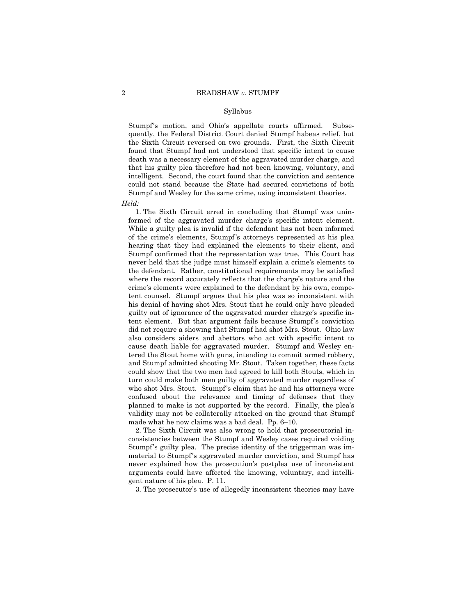#### Syllabus

Stumpf's motion, and Ohio's appellate courts affirmed. Subsequently, the Federal District Court denied Stumpf habeas relief, but the Sixth Circuit reversed on two grounds. First, the Sixth Circuit found that Stumpf had not understood that specific intent to cause death was a necessary element of the aggravated murder charge, and that his guilty plea therefore had not been knowing, voluntary, and intelligent. Second, the court found that the conviction and sentence could not stand because the State had secured convictions of both Stumpf and Wesley for the same crime, using inconsistent theories.

*Held:* 

 1. The Sixth Circuit erred in concluding that Stumpf was uninformed of the aggravated murder charge's specific intent element. While a guilty plea is invalid if the defendant has not been informed of the crime's elements, Stumpf's attorneys represented at his plea hearing that they had explained the elements to their client, and Stumpf confirmed that the representation was true. This Court has never held that the judge must himself explain a crime's elements to the defendant. Rather, constitutional requirements may be satisfied where the record accurately reflects that the charge's nature and the crime's elements were explained to the defendant by his own, competent counsel. Stumpf argues that his plea was so inconsistent with his denial of having shot Mrs. Stout that he could only have pleaded guilty out of ignorance of the aggravated murder charge's specific intent element. But that argument fails because Stumpf's conviction did not require a showing that Stumpf had shot Mrs. Stout. Ohio law also considers aiders and abettors who act with specific intent to cause death liable for aggravated murder. Stumpf and Wesley entered the Stout home with guns, intending to commit armed robbery, and Stumpf admitted shooting Mr. Stout. Taken together, these facts could show that the two men had agreed to kill both Stouts, which in turn could make both men guilty of aggravated murder regardless of who shot Mrs. Stout. Stumpf's claim that he and his attorneys were confused about the relevance and timing of defenses that they planned to make is not supported by the record. Finally, the pleaís validity may not be collaterally attacked on the ground that Stumpf made what he now claims was a bad deal. Pp.  $6-10$ .

 2. The Sixth Circuit was also wrong to hold that prosecutorial inconsistencies between the Stumpf and Wesley cases required voiding Stumpf's guilty plea. The precise identity of the triggerman was immaterial to Stumpf's aggravated murder conviction, and Stumpf has never explained how the prosecution's postplea use of inconsistent arguments could have affected the knowing, voluntary, and intelligent nature of his plea. P. 11.

3. The prosecutor's use of allegedly inconsistent theories may have